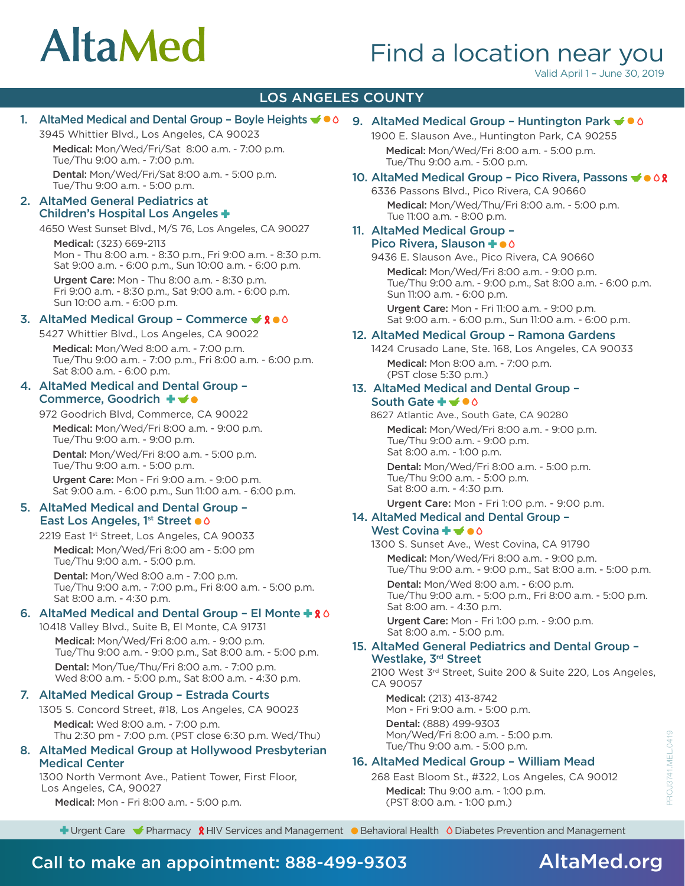# **AltaMed**

# Find a location near you

Valid April 1 – June 30, 2019

### LOS ANGELES COUNTY

### 1. AltaMed Medical and Dental Group - Boyle Heights  $\blacklozenge \circ$

3945 Whittier Blvd., Los Angeles, CA 90023 Medical: Mon/Wed/Fri/Sat 8:00 a.m. - 7:00 p.m. Tue/Thu 9:00 a.m. - 7:00 p.m.

Dental: Mon/Wed/Fri/Sat 8:00 a.m. - 5:00 p.m. Tue/Thu 9:00 a.m. - 5:00 p.m.

### 2. AltaMed General Pediatrics at Children's Hospital Los Angeles

4650 West Sunset Blvd., M/S 76, Los Angeles, CA 90027 Medical: (323) 669-2113 Mon - Thu 8:00 a.m. - 8:30 p.m., Fri 9:00 a.m. - 8:30 p.m.

Sat 9:00 a.m. - 6:00 p.m., Sun 10:00 a.m. - 6:00 p.m. Urgent Care: Mon - Thu 8:00 a.m. - 8:30 p.m. Fri 9:00 a.m. - 8:30 p.m., Sat 9:00 a.m. - 6:00 p.m. Sun 10:00 a.m. - 6:00 p.m.

### 3. AltaMed Medical Group - Commerce  $\triangleleft$  2  $\circ$  6

5427 Whittier Blvd., Los Angeles, CA 90022

Medical: Mon/Wed 8:00 a.m. - 7:00 p.m. Tue/Thu 9:00 a.m. - 7:00 p.m., Fri 8:00 a.m. - 6:00 p.m. Sat 8:00 a.m. - 6:00 p.m.

### 4. AltaMed Medical and Dental Group – Commerce, Goodrich + v ·

972 Goodrich Blvd, Commerce, CA 90022 Medical: Mon/Wed/Fri 8:00 a.m. - 9:00 p.m. Tue/Thu 9:00 a.m. - 9:00 p.m.

Dental: Mon/Wed/Fri 8:00 a.m. - 5:00 p.m. Tue/Thu 9:00 a.m. - 5:00 p.m. Urgent Care: Mon - Fri 9:00 a.m. - 9:00 p.m. Sat 9:00 a.m. - 6:00 p.m., Sun 11:00 a.m. - 6:00 p.m.

### 5. AltaMed Medical and Dental Group – East Los Angeles, 1<sup>st</sup> Street  $\bullet$  6

2219 East 1st Street, Los Angeles, CA 90033 Medical: Mon/Wed/Fri 8:00 am - 5:00 pm

Tue/Thu 9:00 a.m. - 5:00 p.m. Dental: Mon/Wed 8:00 a.m - 7:00 p.m. Tue/Thu 9:00 a.m. - 7:00 p.m., Fri 8:00 a.m. - 5:00 p.m. Sat 8:00 a.m. - 4:30 p.m.

### 6. AltaMed Medical and Dental Group – El Monte  $\div$  80

10418 Valley Blvd., Suite B, El Monte, CA 91731

Medical: Mon/Wed/Fri 8:00 a.m. - 9:00 p.m. Tue/Thu 9:00 a.m. - 9:00 p.m., Sat 8:00 a.m. - 5:00 p.m. Dental: Mon/Tue/Thu/Fri 8:00 a.m. - 7:00 p.m. Wed 8:00 a.m. - 5:00 p.m., Sat 8:00 a.m. - 4:30 p.m.

### 7. AltaMed Medical Group – Estrada Courts

1305 S. Concord Street, #18, Los Angeles, CA 90023 Medical: Wed 8:00 a.m. - 7:00 p.m. Thu 2:30 pm - 7:00 p.m. (PST close 6:30 p.m. Wed/Thu)

### 8. AltaMed Medical Group at Hollywood Presbyterian Medical Center

1300 North Vermont Ave., Patient Tower, First Floor, Los Angeles, CA, 90027

Medical: Mon - Fri 8:00 a.m. - 5:00 p.m.

### 9. AltaMed Medical Group – Huntington Park  $\blacklozenge$   $\circ$

1900 E. Slauson Ave., Huntington Park, CA 90255 Medical: Mon/Wed/Fri 8:00 a.m. - 5:00 p.m. Tue/Thu 9:00 a.m. - 5:00 p.m.

### 10. AltaMed Medical Group - Pico Rivera, Passons  $\rightarrow \infty$

6336 Passons Blvd., Pico Rivera, CA 90660 Medical: Mon/Wed/Thu/Fri 8:00 a.m. - 5:00 p.m. Tue 11:00 a.m. - 8:00 p.m.

### 11. AltaMed Medical Group – Pico Rivera, Slauson + ● 0

9436 E. Slauson Ave., Pico Rivera, CA 90660 Medical: Mon/Wed/Fri 8:00 a.m. - 9:00 p.m. Tue/Thu 9:00 a.m. - 9:00 p.m., Sat 8:00 a.m. - 6:00 p.m. Sun 11:00 a.m. - 6:00 p.m.

Urgent Care: Mon - Fri 11:00 a.m. - 9:00 p.m. Sat 9:00 a.m. - 6:00 p.m., Sun 11:00 a.m. - 6:00 p.m.

### 12. AltaMed Medical Group – Ramona Gardens

1424 Crusado Lane, Ste. 168, Los Angeles, CA 90033 Medical: Mon 8:00 a.m. - 7:00 p.m. (PST close 5:30 p.m.)

### 13. AltaMed Medical and Dental Group – South Gate **+ <del>↓</del> ●** △

 8627 Atlantic Ave., South Gate, CA 90280 Medical: Mon/Wed/Fri 8:00 a.m. - 9:00 p.m. Tue/Thu 9:00 a.m. - 9:00 p.m. Sat 8:00 a.m. - 1:00 p.m.

Dental: Mon/Wed/Fri 8:00 a.m. - 5:00 p.m. Tue/Thu 9:00 a.m. - 5:00 p.m. Sat 8:00 a.m. - 4:30 p.m.

Urgent Care: Mon - Fri 1:00 p.m. - 9:00 p.m.

#### 14. AltaMed Medical and Dental Group – West Covina +  $\rightarrow \bullet$  60

1300 S. Sunset Ave., West Covina, CA 91790

Medical: Mon/Wed/Fri 8:00 a.m. - 9:00 p.m. Tue/Thu 9:00 a.m. - 9:00 p.m., Sat 8:00 a.m. - 5:00 p.m.

Dental: Mon/Wed 8:00 a.m. - 6:00 p.m. Tue/Thu 9:00 a.m. - 5:00 p.m., Fri 8:00 a.m. - 5:00 p.m. Sat 8:00 am. - 4:30 p.m.

Urgent Care: Mon - Fri 1:00 p.m. - 9:00 p.m. Sat 8:00 a.m. - 5:00 p.m.

### 15. AltaMed General Pediatrics and Dental Group – Westlake, 3<sup>rd</sup> Street

2100 West 3rd Street, Suite 200 & Suite 220, Los Angeles, CA 90057

Medical: (213) 413-8742 Mon - Fri 9:00 a.m. - 5:00 p.m. Dental: (888) 499-9303 Mon/Wed/Fri 8:00 a.m. - 5:00 p.m. Tue/Thu 9:00 a.m. - 5:00 p.m.

### 16**.** AltaMed Medical Group – William Mead

268 East Bloom St., #322, Los Angeles, CA 90012 Medical: Thu 9:00 a.m. - 1:00 p.m. (PST 8:00 a.m. - 1:00 p.m.)

**+** Urgent Care  $\blacktriangleright$  Pharmacy  $\blacktriangleleft$  HIV Services and Management  $\blacktriangleright$  Behavioral Health  $\blacktriangleleft$  Diabetes Prevention and Management

## Call to make an appointment: 888-499-9303

## AltaMed.org